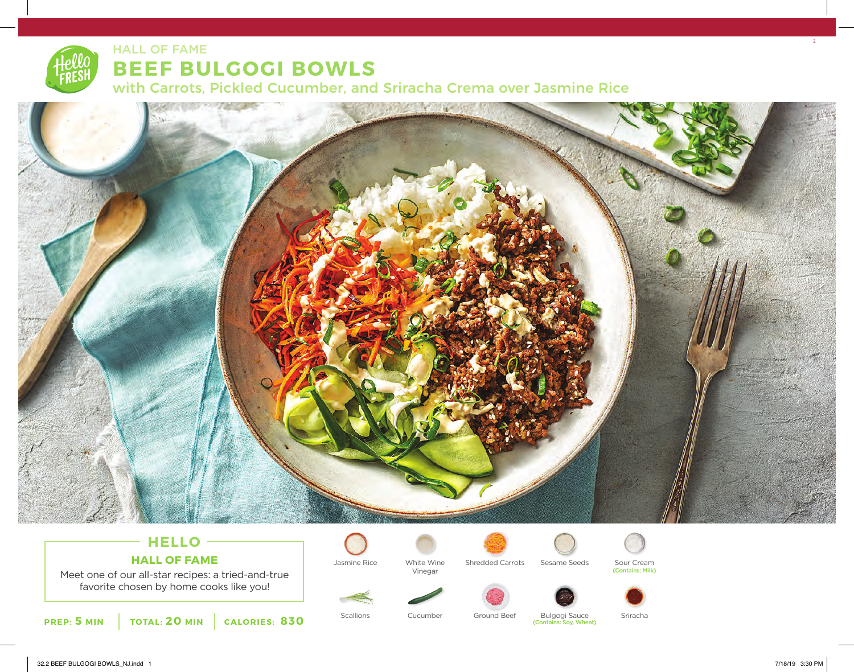# HALL OF FAME **BEEF BULGOGI BOWLS** with Carrots, Pickled Cucumber, and Sriracha Crema over Jasmine Rice



## **HELLO HALL OF FAME**

Meet one of our all-star recipes: a tried-and-true favorite chosen by home cooks like you!





Vinegar



Jasmine Rice White Wine Shredded Carrots Sesame Seeds Sour Cream



(Contains: Milk)







Scallions Cucumber Ground Beef Bulgogi Sauce Sriracha

(Contains: Soy, Wheat)

32.2 BEEF BULGOGI BOWLS\_NJ.indd 1 7/18/19 3:30 PM

2